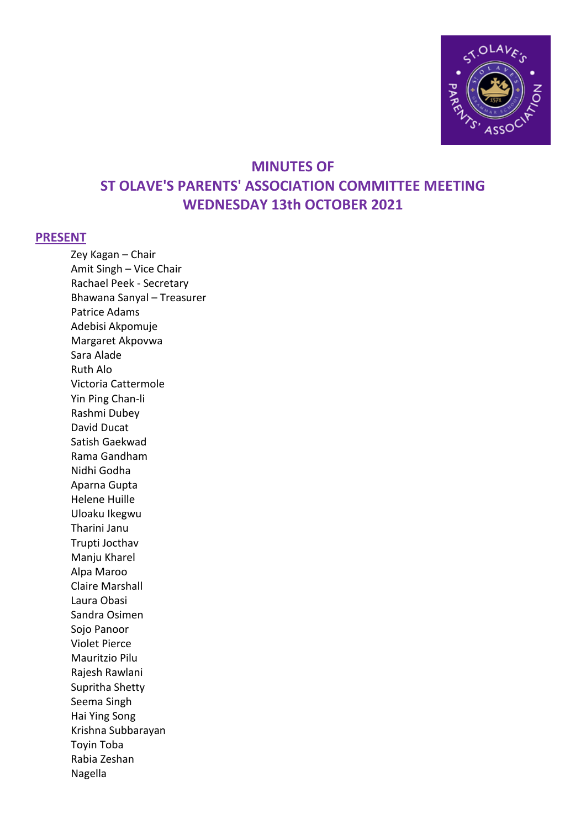

# **MINUTES OF ST OLAVE'S PARENTS' ASSOCIATION COMMITTEE MEETING WEDNESDAY 13th OCTOBER 2021**

#### **PRESENT**

Zey Kagan – Chair Amit Singh – Vice Chair Rachael Peek - Secretary Bhawana Sanyal – Treasurer Patrice Adams Adebisi Akpomuje Margaret Akpovwa Sara Alade Ruth Alo Victoria Cattermole Yin Ping Chan-li Rashmi Dubey David Ducat Satish Gaekwad Rama Gandham Nidhi Godha Aparna Gupta Helene Huille Uloaku Ikegwu Tharini Janu Trupti Jocthav Manju Kharel Alpa Maroo Claire Marshall Laura Obasi Sandra Osimen Sojo Panoor Violet Pierce Mauritzio Pilu Rajesh Rawlani Supritha Shetty Seema Singh Hai Ying Song Krishna Subbarayan Toyin Toba Rabia Zeshan Nagella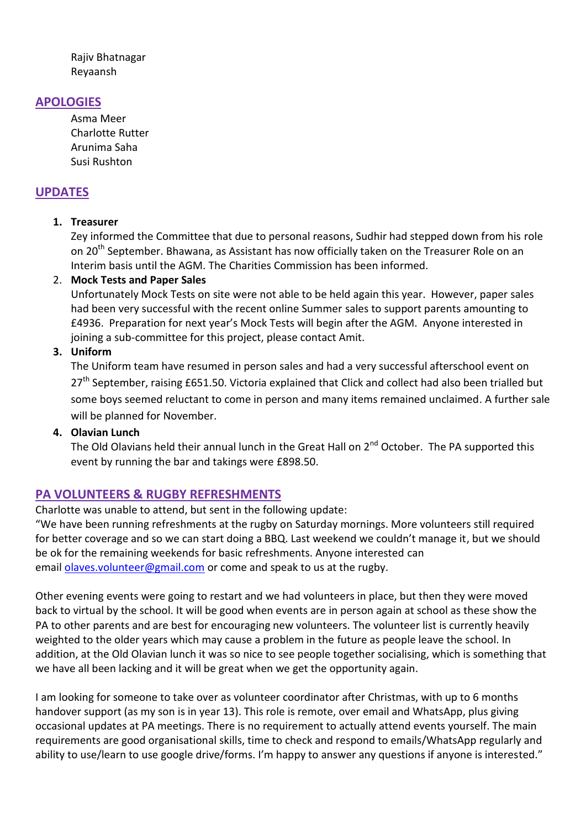Rajiv Bhatnagar Reyaansh

## **APOLOGIES**

Asma Meer Charlotte Rutter Arunima Saha Susi Rushton

## **UPDATES**

#### **1. Treasurer**

Zey informed the Committee that due to personal reasons, Sudhir had stepped down from his role on 20<sup>th</sup> September. Bhawana, as Assistant has now officially taken on the Treasurer Role on an Interim basis until the AGM. The Charities Commission has been informed.

#### 2. **Mock Tests and Paper Sales**

Unfortunately Mock Tests on site were not able to be held again this year. However, paper sales had been very successful with the recent online Summer sales to support parents amounting to £4936. Preparation for next year's Mock Tests will begin after the AGM. Anyone interested in joining a sub-committee for this project, please contact Amit.

#### **3. Uniform**

The Uniform team have resumed in person sales and had a very successful afterschool event on  $27<sup>th</sup>$  September, raising £651.50. Victoria explained that Click and collect had also been trialled but some boys seemed reluctant to come in person and many items remained unclaimed. A further sale will be planned for November.

#### **4. Olavian Lunch**

The Old Olavians held their annual lunch in the Great Hall on 2<sup>nd</sup> October. The PA supported this event by running the bar and takings were £898.50.

## **PA VOLUNTEERS & RUGBY REFRESHMENTS**

Charlotte was unable to attend, but sent in the following update:

"We have been running refreshments at the rugby on Saturday mornings. More volunteers still required for better coverage and so we can start doing a BBQ. Last weekend we couldn't manage it, but we should be ok for the remaining weekends for basic refreshments. Anyone interested can email [olaves.volunteer@gmail.com](mailto:olaves.volunteer@gmail.com) or come and speak to us at the rugby.

Other evening events were going to restart and we had volunteers in place, but then they were moved back to virtual by the school. It will be good when events are in person again at school as these show the PA to other parents and are best for encouraging new volunteers. The volunteer list is currently heavily weighted to the older years which may cause a problem in the future as people leave the school. In addition, at the Old Olavian lunch it was so nice to see people together socialising, which is something that we have all been lacking and it will be great when we get the opportunity again.

I am looking for someone to take over as volunteer coordinator after Christmas, with up to 6 months handover support (as my son is in year 13). This role is remote, over email and WhatsApp, plus giving occasional updates at PA meetings. There is no requirement to actually attend events yourself. The main requirements are good organisational skills, time to check and respond to emails/WhatsApp regularly and ability to use/learn to use google drive/forms. I'm happy to answer any questions if anyone is interested."